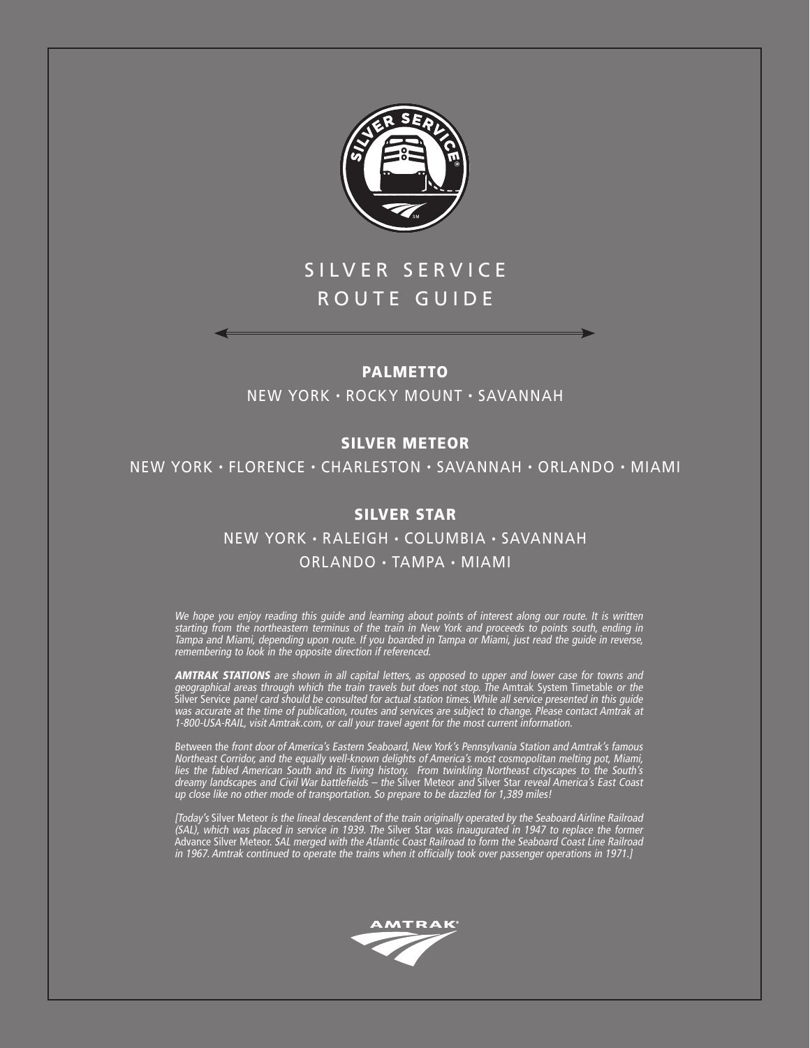

# SILVER SERVICE ROUTE GUIDE

# PALMETTO

NEW YORK • ROCKY MOUNT • SAVANNAH

# SILVER METEOR

NEW YORK • FLORENCE • CHARLESTON • SAVANNAH • ORLANDO • MIAMI

# SILVER STAR

NEW YORK • RALEIGH • COLUMBIA • SAVANNAH ORLANDO • TAMPA • MIAMI

We hope you enjoy reading this guide and learning about points of interest along our route. It is written starting from the northeastern terminus of the train in New York and proceeds to points south, ending in Tampa and Miami, depending upon route. If you boarded in Tampa or Miami, just read the guide in reverse, remembering to look in the opposite direction if referenced.

**AMTRAK STATIONS** are shown in all capital letters, as opposed to upper and lower case for towns and geographical areas through which the train travels but does not stop. The Amtrak System Timetable or the Silver Service panel card should be consulted for actual station times. While all service presented in this guide was accurate at the time of publication, routes and services are subject to change. Please contact Amtrak at 1-800-USA-RAIL, visit Amtrak.com, or call your travel agent for the most current information.

Between the front door of America's Eastern Seaboard, New York's Pennsylvania Station and Amtrak's famous Northeast Corridor, and the equally well-known delights of America's most cosmopolitan melting pot, Miami, lies the fabled American South and its living history. From twinkling Northeast cityscapes to the South's dreamy landscapes and Civil War battlefields – the Silver Meteor and Silver Star reveal America's East Coast up close like no other mode of transportation. So prepare to be dazzled for 1,389 miles!

[Today's Silver Meteor is the lineal descendent of the train originally operated by the Seaboard Airline Railroad (SAL), which was placed in service in 1939. The Silver Star was inaugurated in 1947 to replace the former Advance Silver Meteor. SAL merged with the Atlantic Coast Railroad to form the Seaboard Coast Line Railroad in 1967. Amtrak continued to operate the trains when it officially took over passenger operations in 1971.]

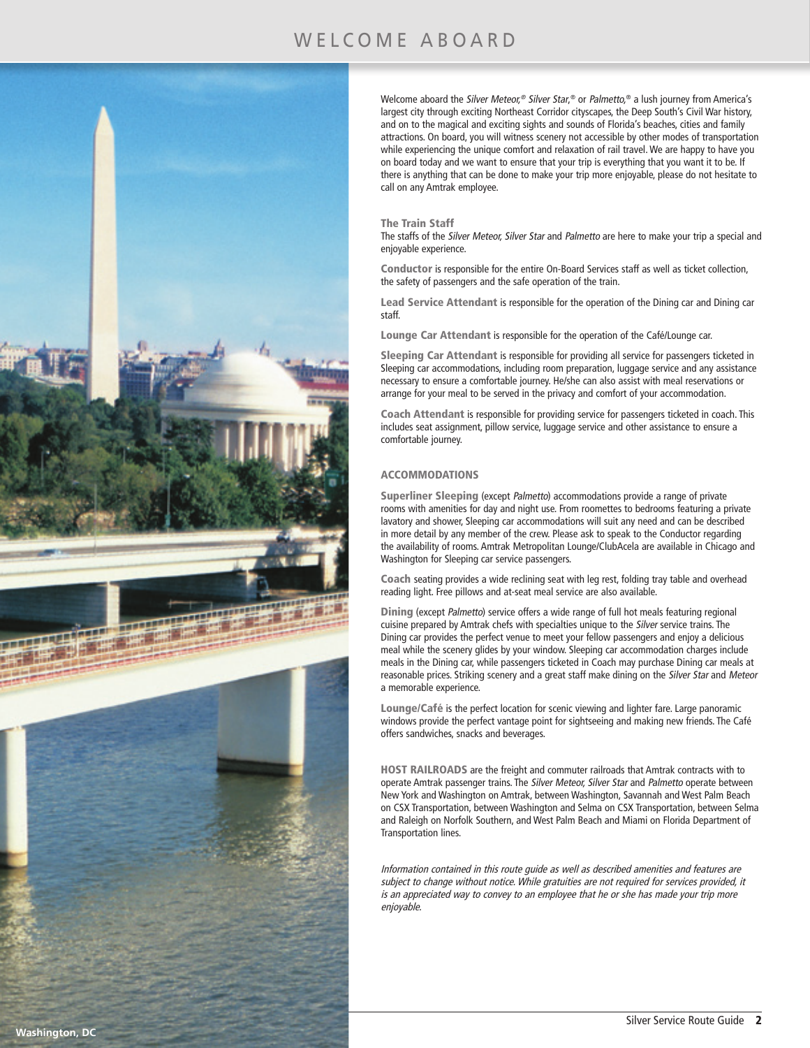# WELCOME ABOARD



Welcome aboard the Silver Meteor,® Silver Star,® or Palmetto,® a lush journey from America's largest city through exciting Northeast Corridor cityscapes, the Deep South's Civil War history, and on to the magical and exciting sights and sounds of Florida's beaches, cities and family attractions. On board, you will witness scenery not accessible by other modes of transportation while experiencing the unique comfort and relaxation of rail travel. We are happy to have you on board today and we want to ensure that your trip is everything that you want it to be. If there is anything that can be done to make your trip more enjoyable, please do not hesitate to call on any Amtrak employee.

#### The Train Staff

The staffs of the Silver Meteor, Silver Star and Palmetto are here to make your trip a special and enjoyable experience.

Conductor is responsible for the entire On-Board Services staff as well as ticket collection, the safety of passengers and the safe operation of the train.

Lead Service Attendant is responsible for the operation of the Dining car and Dining car staff.

Lounge Car Attendant is responsible for the operation of the Café/Lounge car.

Sleeping Car Attendant is responsible for providing all service for passengers ticketed in Sleeping car accommodations, including room preparation, luggage service and any assistance necessary to ensure a comfortable journey. He/she can also assist with meal reservations or arrange for your meal to be served in the privacy and comfort of your accommodation.

Coach Attendant is responsible for providing service for passengers ticketed in coach. This includes seat assignment, pillow service, luggage service and other assistance to ensure a comfortable journey.

#### ACCOMMODATIONS

Superliner Sleeping (except Palmetto) accommodations provide a range of private rooms with amenities for day and night use. From roomettes to bedrooms featuring a private lavatory and shower, Sleeping car accommodations will suit any need and can be described in more detail by any member of the crew. Please ask to speak to the Conductor regarding the availability of rooms. Amtrak Metropolitan Lounge/ClubAcela are available in Chicago and Washington for Sleeping car service passengers.

Coach seating provides a wide reclining seat with leg rest, folding tray table and overhead reading light. Free pillows and at-seat meal service are also available.

Dining (except Palmetto) service offers a wide range of full hot meals featuring regional cuisine prepared by Amtrak chefs with specialties unique to the Silver service trains. The Dining car provides the perfect venue to meet your fellow passengers and enjoy a delicious meal while the scenery glides by your window. Sleeping car accommodation charges include meals in the Dining car, while passengers ticketed in Coach may purchase Dining car meals at reasonable prices. Striking scenery and a great staff make dining on the Silver Star and Meteor a memorable experience.

Lounge/Café is the perfect location for scenic viewing and lighter fare. Large panoramic windows provide the perfect vantage point for sightseeing and making new friends. The Café offers sandwiches, snacks and beverages.

HOST RAILROADS are the freight and commuter railroads that Amtrak contracts with to operate Amtrak passenger trains. The Silver Meteor, Silver Star and Palmetto operate between New York and Washington on Amtrak, between Washington, Savannah and West Palm Beach on CSX Transportation, between Washington and Selma on CSX Transportation, between Selma and Raleigh on Norfolk Southern, and West Palm Beach and Miami on Florida Department of Transportation lines.

Information contained in this route guide as well as described amenities and features are subject to change without notice. While gratuities are not required for services provided, it is an appreciated way to convey to an employee that he or she has made your trip more enjoyable.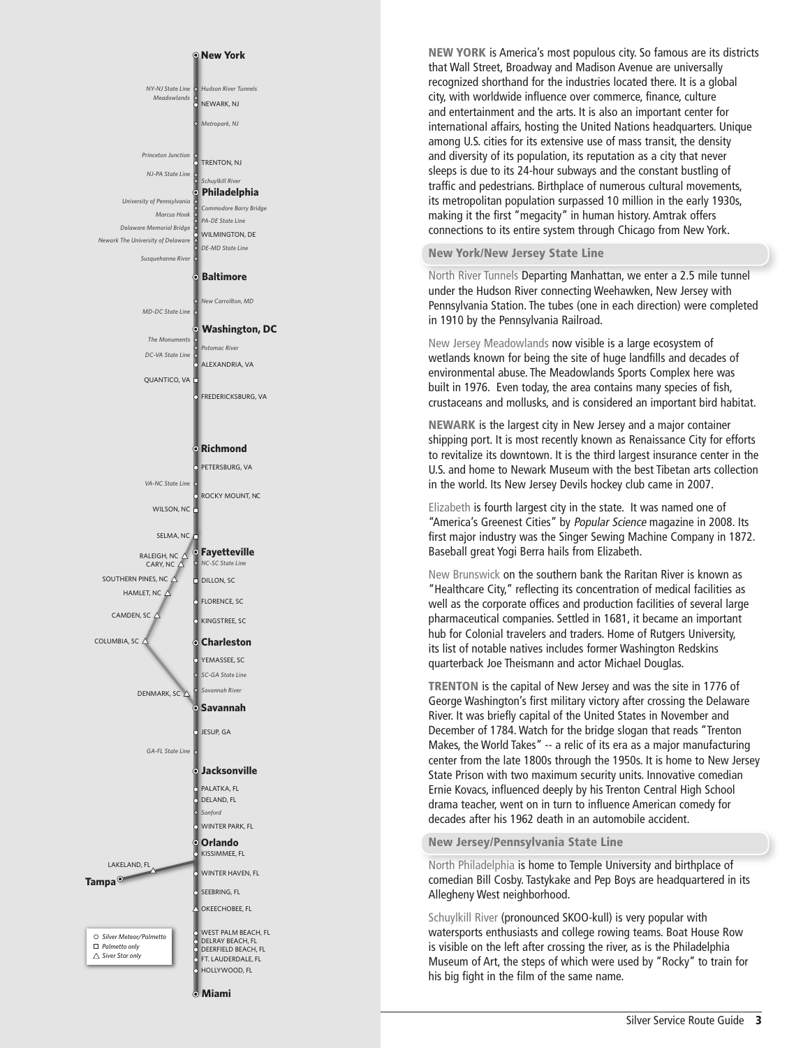

**Miami**

NEW YORK is America's most populous city. So famous are its districts that Wall Street, Broadway and Madison Avenue are universally recognized shorthand for the industries located there. It is a global city, with worldwide influence over commerce, finance, culture and entertainment and the arts. It is also an important center for international affairs, hosting the United Nations headquarters. Unique among U.S. cities for its extensive use of mass transit, the density and diversity of its population, its reputation as a city that never sleeps is due to its 24-hour subways and the constant bustling of traffic and pedestrians. Birthplace of numerous cultural movements, its metropolitan population surpassed 10 million in the early 1930s, making it the first "megacity" in human history. Amtrak offers connections to its entire system through Chicago from New York.

#### New York/New Jersey State Line

North River Tunnels Departing Manhattan, we enter a 2.5 mile tunnel under the Hudson River connecting Weehawken, New Jersey with Pennsylvania Station. The tubes (one in each direction) were completed in 1910 by the Pennsylvania Railroad.

New Jersey Meadowlands now visible is a large ecosystem of wetlands known for being the site of huge landfills and decades of environmental abuse. The Meadowlands Sports Complex here was built in 1976. Even today, the area contains many species of fish, crustaceans and mollusks, and is considered an important bird habitat.

NEWARK is the largest city in New Jersey and a major container shipping port. It is most recently known as Renaissance City for efforts to revitalize its downtown. It is the third largest insurance center in the U.S. and home to Newark Museum with the best Tibetan arts collection in the world. Its New Jersey Devils hockey club came in 2007.

Elizabeth is fourth largest city in the state. It was named one of "America's Greenest Cities" by Popular Science magazine in 2008. Its first major industry was the Singer Sewing Machine Company in 1872. Baseball great Yogi Berra hails from Elizabeth.

New Brunswick on the southern bank the Raritan River is known as "Healthcare City," reflecting its concentration of medical facilities as well as the corporate offices and production facilities of several large pharmaceutical companies. Settled in 1681, it became an important hub for Colonial travelers and traders. Home of Rutgers University, its list of notable natives includes former Washington Redskins quarterback Joe Theismann and actor Michael Douglas.

TRENTON is the capital of New Jersey and was the site in 1776 of George Washington's first military victory after crossing the Delaware River. It was briefly capital of the United States in November and December of 1784. Watch for the bridge slogan that reads "Trenton Makes, the World Takes" -- a relic of its era as a major manufacturing center from the late 1800s through the 1950s. It is home to New Jersey State Prison with two maximum security units. Innovative comedian Ernie Kovacs, influenced deeply by his Trenton Central High School drama teacher, went on in turn to influence American comedy for decades after his 1962 death in an automobile accident.

New Jersey/Pennsylvania State Line

North Philadelphia is home to Temple University and birthplace of comedian Bill Cosby. Tastykake and Pep Boys are headquartered in its Allegheny West neighborhood.

Schuylkill River (pronounced SKOO-kull) is very popular with watersports enthusiasts and college rowing teams. Boat House Row is visible on the left after crossing the river, as is the Philadelphia Museum of Art, the steps of which were used by "Rocky" to train for his big fight in the film of the same name.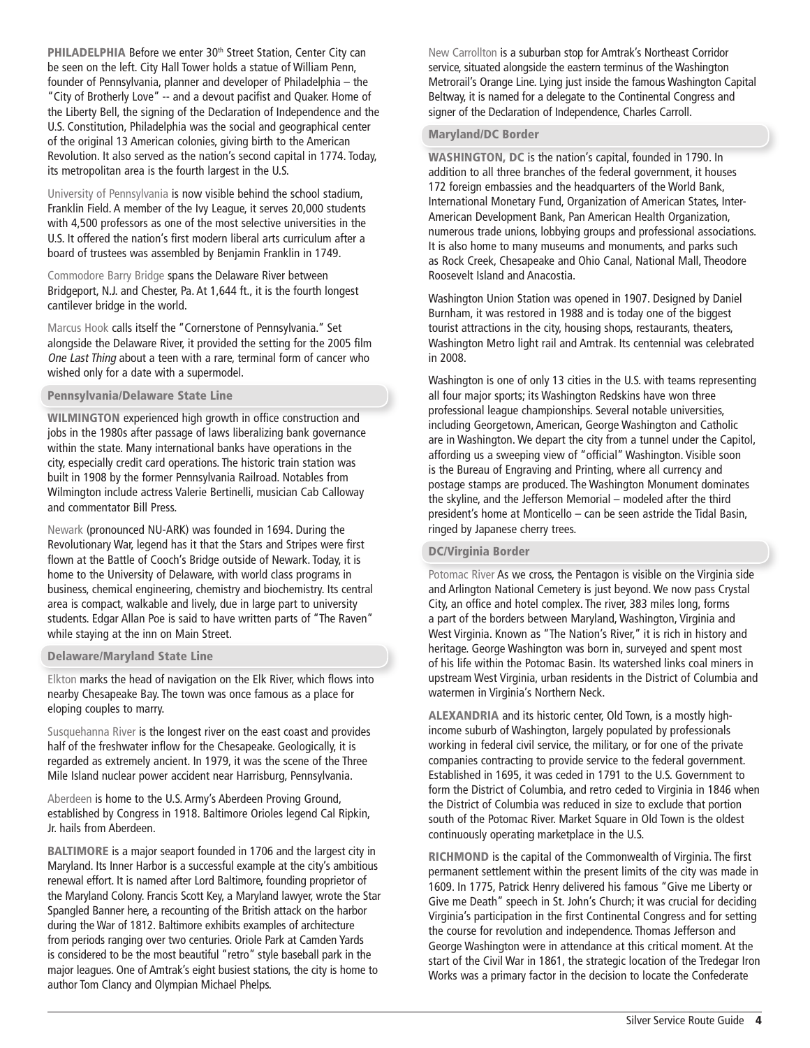PHILADELPHIA Before we enter 30<sup>th</sup> Street Station, Center City can be seen on the left. City Hall Tower holds a statue of William Penn, founder of Pennsylvania, planner and developer of Philadelphia – the "City of Brotherly Love" -- and a devout pacifist and Quaker. Home of the Liberty Bell, the signing of the Declaration of Independence and the U.S. Constitution, Philadelphia was the social and geographical center of the original 13 American colonies, giving birth to the American Revolution. It also served as the nation's second capital in 1774. Today, its metropolitan area is the fourth largest in the U.S.

University of Pennsylvania is now visible behind the school stadium, Franklin Field. A member of the Ivy League, it serves 20,000 students with 4,500 professors as one of the most selective universities in the U.S. It offered the nation's first modern liberal arts curriculum after a board of trustees was assembled by Benjamin Franklin in 1749.

Commodore Barry Bridge spans the Delaware River between Bridgeport, N.J. and Chester, Pa. At 1,644 ft., it is the fourth longest cantilever bridge in the world.

Marcus Hook calls itself the "Cornerstone of Pennsylvania." Set alongside the Delaware River, it provided the setting for the 2005 film One Last Thing about a teen with a rare, terminal form of cancer who wished only for a date with a supermodel.

#### Pennsylvania/Delaware State Line

WILMINGTON experienced high growth in office construction and jobs in the 1980s after passage of laws liberalizing bank governance within the state. Many international banks have operations in the city, especially credit card operations. The historic train station was built in 1908 by the former Pennsylvania Railroad. Notables from Wilmington include actress Valerie Bertinelli, musician Cab Calloway and commentator Bill Press.

Newark (pronounced NU-ARK) was founded in 1694. During the Revolutionary War, legend has it that the Stars and Stripes were first flown at the Battle of Cooch's Bridge outside of Newark. Today, it is home to the University of Delaware, with world class programs in business, chemical engineering, chemistry and biochemistry. Its central area is compact, walkable and lively, due in large part to university students. Edgar Allan Poe is said to have written parts of "The Raven" while staying at the inn on Main Street.

#### Delaware/Maryland State Line

Elkton marks the head of navigation on the Elk River, which flows into nearby Chesapeake Bay. The town was once famous as a place for eloping couples to marry.

Susquehanna River is the longest river on the east coast and provides half of the freshwater inflow for the Chesapeake. Geologically, it is regarded as extremely ancient. In 1979, it was the scene of the Three Mile Island nuclear power accident near Harrisburg, Pennsylvania.

Aberdeen is home to the U.S. Army's Aberdeen Proving Ground, established by Congress in 1918. Baltimore Orioles legend Cal Ripkin, Jr. hails from Aberdeen.

BALTIMORE is a major seaport founded in 1706 and the largest city in Maryland. Its Inner Harbor is a successful example at the city's ambitious renewal effort. It is named after Lord Baltimore, founding proprietor of the Maryland Colony. Francis Scott Key, a Maryland lawyer, wrote the Star Spangled Banner here, a recounting of the British attack on the harbor during the War of 1812. Baltimore exhibits examples of architecture from periods ranging over two centuries. Oriole Park at Camden Yards is considered to be the most beautiful "retro" style baseball park in the major leagues. One of Amtrak's eight busiest stations, the city is home to author Tom Clancy and Olympian Michael Phelps.

New Carrollton is a suburban stop for Amtrak's Northeast Corridor service, situated alongside the eastern terminus of the Washington Metrorail's Orange Line. Lying just inside the famous Washington Capital Beltway, it is named for a delegate to the Continental Congress and signer of the Declaration of Independence, Charles Carroll.

#### Maryland/DC Border

WASHINGTON, DC is the nation's capital, founded in 1790. In addition to all three branches of the federal government, it houses 172 foreign embassies and the headquarters of the World Bank, International Monetary Fund, Organization of American States, Inter-American Development Bank, Pan American Health Organization, numerous trade unions, lobbying groups and professional associations. It is also home to many museums and monuments, and parks such as Rock Creek, Chesapeake and Ohio Canal, National Mall, Theodore Roosevelt Island and Anacostia.

Washington Union Station was opened in 1907. Designed by Daniel Burnham, it was restored in 1988 and is today one of the biggest tourist attractions in the city, housing shops, restaurants, theaters, Washington Metro light rail and Amtrak. Its centennial was celebrated in 2008.

Washington is one of only 13 cities in the U.S. with teams representing all four major sports; its Washington Redskins have won three professional league championships. Several notable universities, including Georgetown, American, George Washington and Catholic are in Washington. We depart the city from a tunnel under the Capitol, affording us a sweeping view of "official" Washington. Visible soon is the Bureau of Engraving and Printing, where all currency and postage stamps are produced. The Washington Monument dominates the skyline, and the Jefferson Memorial – modeled after the third president's home at Monticello – can be seen astride the Tidal Basin, ringed by Japanese cherry trees.

#### DC/Virginia Border

Potomac River As we cross, the Pentagon is visible on the Virginia side and Arlington National Cemetery is just beyond. We now pass Crystal City, an office and hotel complex. The river, 383 miles long, forms a part of the borders between Maryland, Washington, Virginia and West Virginia. Known as "The Nation's River," it is rich in history and heritage. George Washington was born in, surveyed and spent most of his life within the Potomac Basin. Its watershed links coal miners in upstream West Virginia, urban residents in the District of Columbia and watermen in Virginia's Northern Neck.

ALEXANDRIA and its historic center, Old Town, is a mostly highincome suburb of Washington, largely populated by professionals working in federal civil service, the military, or for one of the private companies contracting to provide service to the federal government. Established in 1695, it was ceded in 1791 to the U.S. Government to form the District of Columbia, and retro ceded to Virginia in 1846 when the District of Columbia was reduced in size to exclude that portion south of the Potomac River. Market Square in Old Town is the oldest continuously operating marketplace in the U.S.

RICHMOND is the capital of the Commonwealth of Virginia. The first permanent settlement within the present limits of the city was made in 1609. In 1775, Patrick Henry delivered his famous "Give me Liberty or Give me Death" speech in St. John's Church; it was crucial for deciding Virginia's participation in the first Continental Congress and for setting the course for revolution and independence. Thomas Jefferson and George Washington were in attendance at this critical moment. At the start of the Civil War in 1861, the strategic location of the Tredegar Iron Works was a primary factor in the decision to locate the Confederate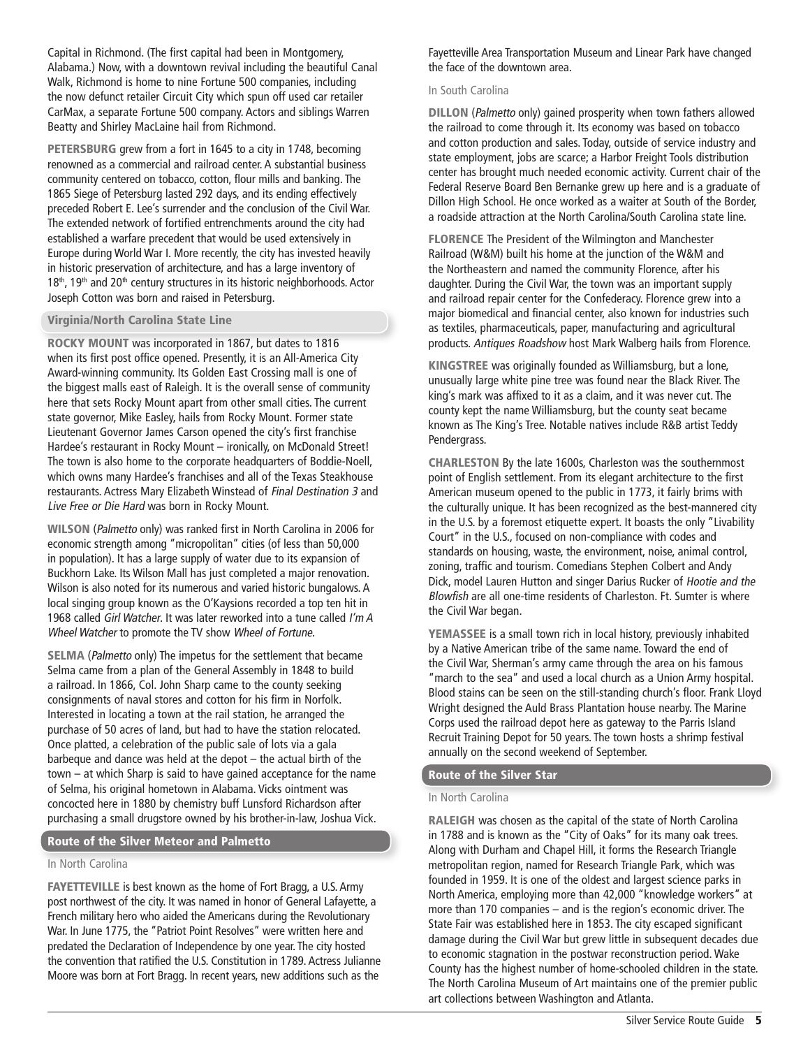Capital in Richmond. (The first capital had been in Montgomery, Alabama.) Now, with a downtown revival including the beautiful Canal Walk, Richmond is home to nine Fortune 500 companies, including the now defunct retailer Circuit City which spun off used car retailer CarMax, a separate Fortune 500 company. Actors and siblings Warren Beatty and Shirley MacLaine hail from Richmond.

PETERSBURG grew from a fort in 1645 to a city in 1748, becoming renowned as a commercial and railroad center. A substantial business community centered on tobacco, cotton, flour mills and banking. The 1865 Siege of Petersburg lasted 292 days, and its ending effectively preceded Robert E. Lee's surrender and the conclusion of the Civil War. The extended network of fortified entrenchments around the city had established a warfare precedent that would be used extensively in Europe during World War I. More recently, the city has invested heavily in historic preservation of architecture, and has a large inventory of 18<sup>th</sup>, 19<sup>th</sup> and 20<sup>th</sup> century structures in its historic neighborhoods. Actor Joseph Cotton was born and raised in Petersburg.

### Virginia/North Carolina State Line

ROCKY MOUNT was incorporated in 1867, but dates to 1816 when its first post office opened. Presently, it is an All-America City Award-winning community. Its Golden East Crossing mall is one of the biggest malls east of Raleigh. It is the overall sense of community here that sets Rocky Mount apart from other small cities. The current state governor, Mike Easley, hails from Rocky Mount. Former state Lieutenant Governor James Carson opened the city's first franchise Hardee's restaurant in Rocky Mount – ironically, on McDonald Street! The town is also home to the corporate headquarters of Boddie-Noell, which owns many Hardee's franchises and all of the Texas Steakhouse restaurants. Actress Mary Elizabeth Winstead of Final Destination 3 and Live Free or Die Hard was born in Rocky Mount.

WILSON (Palmetto only) was ranked first in North Carolina in 2006 for economic strength among "micropolitan" cities (of less than 50,000 in population). It has a large supply of water due to its expansion of Buckhorn Lake. Its Wilson Mall has just completed a major renovation. Wilson is also noted for its numerous and varied historic bungalows. A local singing group known as the O'Kaysions recorded a top ten hit in 1968 called Girl Watcher. It was later reworked into a tune called I'm A Wheel Watcher to promote the TV show Wheel of Fortune.

SELMA (Palmetto only) The impetus for the settlement that became Selma came from a plan of the General Assembly in 1848 to build a railroad. In 1866, Col. John Sharp came to the county seeking consignments of naval stores and cotton for his firm in Norfolk. Interested in locating a town at the rail station, he arranged the purchase of 50 acres of land, but had to have the station relocated. Once platted, a celebration of the public sale of lots via a gala barbeque and dance was held at the depot – the actual birth of the town – at which Sharp is said to have gained acceptance for the name of Selma, his original hometown in Alabama. Vicks ointment was concocted here in 1880 by chemistry buff Lunsford Richardson after purchasing a small drugstore owned by his brother-in-law, Joshua Vick.

## Route of the Silver Meteor and Palmetto

#### In North Carolina

FAYETTEVILLE is best known as the home of Fort Bragg, a U.S. Army post northwest of the city. It was named in honor of General Lafayette, a French military hero who aided the Americans during the Revolutionary War. In June 1775, the "Patriot Point Resolves" were written here and predated the Declaration of Independence by one year. The city hosted the convention that ratified the U.S. Constitution in 1789. Actress Julianne Moore was born at Fort Bragg. In recent years, new additions such as the

Fayetteville Area Transportation Museum and Linear Park have changed the face of the downtown area.

## In South Carolina

DILLON (Palmetto only) gained prosperity when town fathers allowed the railroad to come through it. Its economy was based on tobacco and cotton production and sales. Today, outside of service industry and state employment, jobs are scarce; a Harbor Freight Tools distribution center has brought much needed economic activity. Current chair of the Federal Reserve Board Ben Bernanke grew up here and is a graduate of Dillon High School. He once worked as a waiter at South of the Border, a roadside attraction at the North Carolina/South Carolina state line.

FLORENCE The President of the Wilmington and Manchester Railroad (W&M) built his home at the junction of the W&M and the Northeastern and named the community Florence, after his daughter. During the Civil War, the town was an important supply and railroad repair center for the Confederacy. Florence grew into a major biomedical and financial center, also known for industries such as textiles, pharmaceuticals, paper, manufacturing and agricultural products. Antiques Roadshow host Mark Walberg hails from Florence.

KINGSTREE was originally founded as Williamsburg, but a lone, unusually large white pine tree was found near the Black River. The king's mark was affixed to it as a claim, and it was never cut. The county kept the name Williamsburg, but the county seat became known as The King's Tree. Notable natives include R&B artist Teddy Pendergrass.

CHARLESTON By the late 1600s, Charleston was the southernmost point of English settlement. From its elegant architecture to the first American museum opened to the public in 1773, it fairly brims with the culturally unique. It has been recognized as the best-mannered city in the U.S. by a foremost etiquette expert. It boasts the only "Livability Court" in the U.S., focused on non-compliance with codes and standards on housing, waste, the environment, noise, animal control, zoning, traffic and tourism. Comedians Stephen Colbert and Andy Dick, model Lauren Hutton and singer Darius Rucker of Hootie and the Blowfish are all one-time residents of Charleston. Ft. Sumter is where the Civil War began.

YEMASSEE is a small town rich in local history, previously inhabited by a Native American tribe of the same name. Toward the end of the Civil War, Sherman's army came through the area on his famous "march to the sea" and used a local church as a Union Army hospital. Blood stains can be seen on the still-standing church's floor. Frank Lloyd Wright designed the Auld Brass Plantation house nearby. The Marine Corps used the railroad depot here as gateway to the Parris Island Recruit Training Depot for 50 years. The town hosts a shrimp festival annually on the second weekend of September.

## Route of the Silver Star

## In North Carolina

RALEIGH was chosen as the capital of the state of North Carolina in 1788 and is known as the "City of Oaks" for its many oak trees. Along with Durham and Chapel Hill, it forms the Research Triangle metropolitan region, named for Research Triangle Park, which was founded in 1959. It is one of the oldest and largest science parks in North America, employing more than 42,000 "knowledge workers" at more than 170 companies – and is the region's economic driver. The State Fair was established here in 1853. The city escaped significant damage during the Civil War but grew little in subsequent decades due to economic stagnation in the postwar reconstruction period. Wake County has the highest number of home-schooled children in the state. The North Carolina Museum of Art maintains one of the premier public art collections between Washington and Atlanta.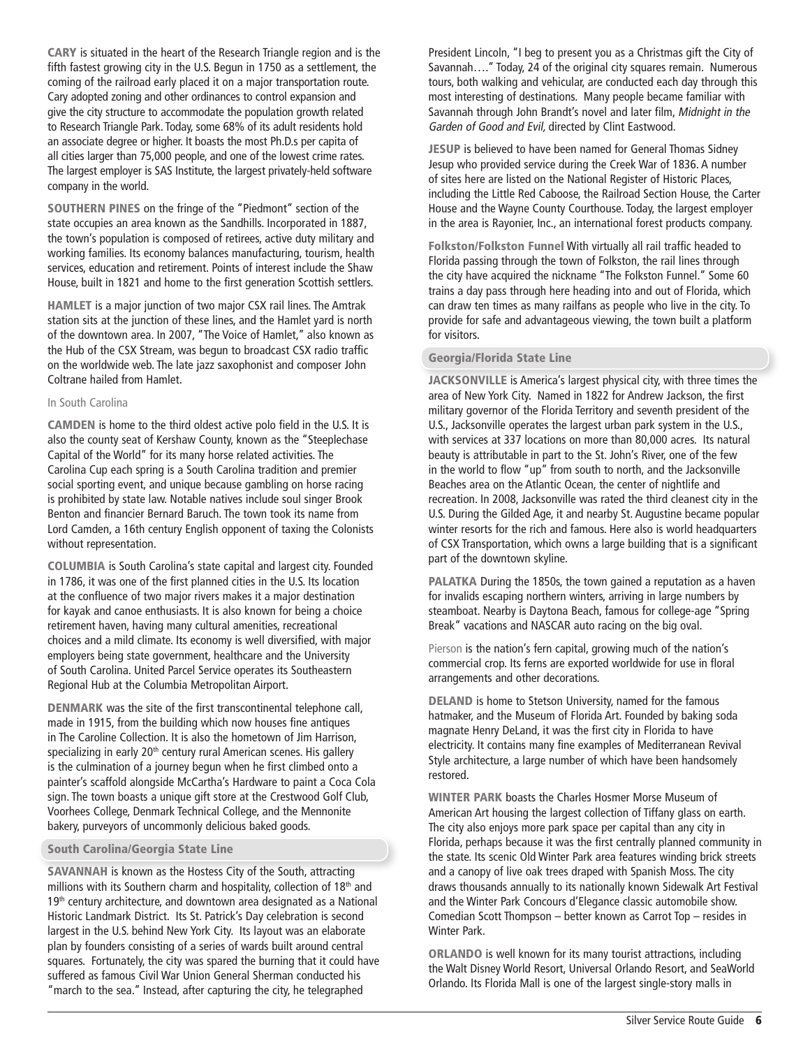CARY is situated in the heart of the Research Triangle region and is the fifth fastest growing city in the U.S. Begun in 1750 as a settlement, the coming of the railroad early placed it on a major transportation route. Cary adopted zoning and other ordinances to control expansion and give the city structure to accommodate the population growth related to Research Triangle Park. Today, some 68% of its adult residents hold an associate degree or higher. It boasts the most Ph.D.s per capita of all cities larger than 75,000 people, and one of the lowest crime rates. The largest employer is SAS Institute, the largest privately-held software company in the world.

SOUTHERN PINES on the fringe of the "Piedmont" section of the state occupies an area known as the Sandhills. Incorporated in 1887, the town's population is composed of retirees, active duty military and working families. Its economy balances manufacturing, tourism, health services, education and retirement. Points of interest include the Shaw House, built in 1821 and home to the first generation Scottish settlers.

HAMLET is a major junction of two major CSX rail lines. The Amtrak station sits at the junction of these lines, and the Hamlet yard is north of the downtown area. In 2007, "The Voice of Hamlet," also known as the Hub of the CSX Stream, was begun to broadcast CSX radio traffic on the worldwide web. The late jazz saxophonist and composer John Coltrane hailed from Hamlet.

#### In South Carolina

CAMDEN is home to the third oldest active polo field in the U.S. It is also the county seat of Kershaw County, known as the "Steeplechase Capital of the World" for its many horse related activities. The Carolina Cup each spring is a South Carolina tradition and premier social sporting event, and unique because gambling on horse racing is prohibited by state law. Notable natives include soul singer Brook Benton and financier Bernard Baruch. The town took its name from Lord Camden, a 16th century English opponent of taxing the Colonists without representation.

COLUMBIA is South Carolina's state capital and largest city. Founded in 1786, it was one of the first planned cities in the U.S. Its location at the confluence of two major rivers makes it a major destination for kayak and canoe enthusiasts. It is also known for being a choice retirement haven, having many cultural amenities, recreational choices and a mild climate. Its economy is well diversified, with major employers being state government, healthcare and the University of South Carolina. United Parcel Service operates its Southeastern Regional Hub at the Columbia Metropolitan Airport.

DENMARK was the site of the first transcontinental telephone call, made in 1915, from the building which now houses fine antiques in The Caroline Collection. It is also the hometown of Jim Harrison, specializing in early 20<sup>th</sup> century rural American scenes. His gallery is the culmination of a journey begun when he first climbed onto a painter's scaffold alongside McCartha's Hardware to paint a Coca Cola sign. The town boasts a unique gift store at the Crestwood Golf Club, Voorhees College, Denmark Technical College, and the Mennonite bakery, purveyors of uncommonly delicious baked goods.

#### South Carolina/Georgia State Line

SAVANNAH is known as the Hostess City of the South, attracting millions with its Southern charm and hospitality, collection of 18<sup>th</sup> and 19<sup>th</sup> century architecture, and downtown area designated as a National Historic Landmark District. Its St. Patrick's Day celebration is second largest in the U.S. behind New York City. Its layout was an elaborate plan by founders consisting of a series of wards built around central squares. Fortunately, the city was spared the burning that it could have suffered as famous Civil War Union General Sherman conducted his "march to the sea." Instead, after capturing the city, he telegraphed

President Lincoln, "I beg to present you as a Christmas gift the City of Savannah…." Today, 24 of the original city squares remain. Numerous tours, both walking and vehicular, are conducted each day through this most interesting of destinations. Many people became familiar with Savannah through John Brandt's novel and later film, Midnight in the Garden of Good and Evil, directed by Clint Eastwood.

JESUP is believed to have been named for General Thomas Sidney Jesup who provided service during the Creek War of 1836. A number of sites here are listed on the National Register of Historic Places, including the Little Red Caboose, the Railroad Section House, the Carter House and the Wayne County Courthouse. Today, the largest employer in the area is Rayonier, Inc., an international forest products company.

Folkston/Folkston Funnel With virtually all rail traffic headed to Florida passing through the town of Folkston, the rail lines through the city have acquired the nickname "The Folkston Funnel." Some 60 trains a day pass through here heading into and out of Florida, which can draw ten times as many railfans as people who live in the city. To provide for safe and advantageous viewing, the town built a platform for visitors.

#### Georgia/Florida State Line

JACKSONVILLE is America's largest physical city, with three times the area of New York City. Named in 1822 for Andrew Jackson, the first military governor of the Florida Territory and seventh president of the U.S., Jacksonville operates the largest urban park system in the U.S., with services at 337 locations on more than 80,000 acres. Its natural beauty is attributable in part to the St. John's River, one of the few in the world to flow "up" from south to north, and the Jacksonville Beaches area on the Atlantic Ocean, the center of nightlife and recreation. In 2008, Jacksonville was rated the third cleanest city in the U.S. During the Gilded Age, it and nearby St. Augustine became popular winter resorts for the rich and famous. Here also is world headquarters of CSX Transportation, which owns a large building that is a significant part of the downtown skyline.

PALATKA During the 1850s, the town gained a reputation as a haven for invalids escaping northern winters, arriving in large numbers by steamboat. Nearby is Daytona Beach, famous for college-age "Spring Break" vacations and NASCAR auto racing on the big oval.

Pierson is the nation's fern capital, growing much of the nation's commercial crop. Its ferns are exported worldwide for use in floral arrangements and other decorations.

DELAND is home to Stetson University, named for the famous hatmaker, and the Museum of Florida Art. Founded by baking soda magnate Henry DeLand, it was the first city in Florida to have electricity. It contains many fine examples of Mediterranean Revival Style architecture, a large number of which have been handsomely restored.

WINTER PARK boasts the Charles Hosmer Morse Museum of American Art housing the largest collection of Tiffany glass on earth. The city also enjoys more park space per capital than any city in Florida, perhaps because it was the first centrally planned community in the state. Its scenic Old Winter Park area features winding brick streets and a canopy of live oak trees draped with Spanish Moss. The city draws thousands annually to its nationally known Sidewalk Art Festival and the Winter Park Concours d'Elegance classic automobile show. Comedian Scott Thompson – better known as Carrot Top – resides in Winter Park.

ORLANDO is well known for its many tourist attractions, including the Walt Disney World Resort, Universal Orlando Resort, and SeaWorld Orlando. Its Florida Mall is one of the largest single-story malls in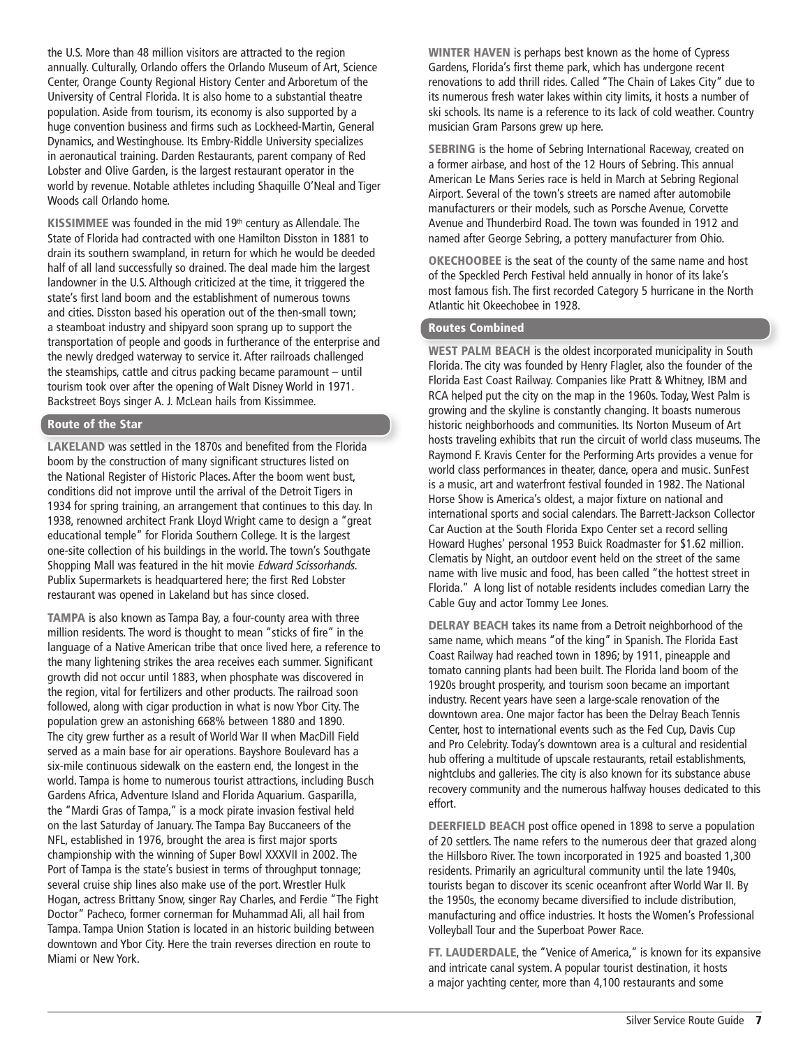the U.S. More than 48 million visitors are attracted to the region annually. Culturally, Orlando offers the Orlando Museum of Art, Science Center, Orange County Regional History Center and Arboretum of the University of Central Florida. It is also home to a substantial theatre population. Aside from tourism, its economy is also supported by a huge convention business and firms such as Lockheed-Martin, General Dynamics, and Westinghouse. Its Embry-Riddle University specializes in aeronautical training. Darden Restaurants, parent company of Red Lobster and Olive Garden, is the largest restaurant operator in the world by revenue. Notable athletes including Shaquille O'Neal and Tiger Woods call Orlando home.

KISSIMMEE was founded in the mid 19<sup>th</sup> century as Allendale. The State of Florida had contracted with one Hamilton Disston in 1881 to drain its southern swampland, in return for which he would be deeded half of all land successfully so drained. The deal made him the largest landowner in the U.S. Although criticized at the time, it triggered the state's first land boom and the establishment of numerous towns and cities. Disston based his operation out of the then-small town; a steamboat industry and shipyard soon sprang up to support the transportation of people and goods in furtherance of the enterprise and the newly dredged waterway to service it. After railroads challenged the steamships, cattle and citrus packing became paramount – until tourism took over after the opening of Walt Disney World in 1971. Backstreet Boys singer A. J. McLean hails from Kissimmee.

## Route of the Star

LAKELAND was settled in the 1870s and benefited from the Florida boom by the construction of many significant structures listed on the National Register of Historic Places. After the boom went bust, conditions did not improve until the arrival of the Detroit Tigers in 1934 for spring training, an arrangement that continues to this day. In 1938, renowned architect Frank Lloyd Wright came to design a "great educational temple" for Florida Southern College. It is the largest one-site collection of his buildings in the world. The town's Southgate Shopping Mall was featured in the hit movie Edward Scissorhands. Publix Supermarkets is headquartered here; the first Red Lobster restaurant was opened in Lakeland but has since closed.

TAMPA is also known as Tampa Bay, a four-county area with three million residents. The word is thought to mean "sticks of fire" in the language of a Native American tribe that once lived here, a reference to the many lightening strikes the area receives each summer. Significant growth did not occur until 1883, when phosphate was discovered in the region, vital for fertilizers and other products. The railroad soon followed, along with cigar production in what is now Ybor City. The population grew an astonishing 668% between 1880 and 1890. The city grew further as a result of World War II when MacDill Field served as a main base for air operations. Bayshore Boulevard has a six-mile continuous sidewalk on the eastern end, the longest in the world. Tampa is home to numerous tourist attractions, including Busch Gardens Africa, Adventure Island and Florida Aquarium. Gasparilla, the "Mardi Gras of Tampa," is a mock pirate invasion festival held on the last Saturday of January. The Tampa Bay Buccaneers of the NFL, established in 1976, brought the area is first major sports championship with the winning of Super Bowl XXXVII in 2002. The Port of Tampa is the state's busiest in terms of throughput tonnage; several cruise ship lines also make use of the port. Wrestler Hulk Hogan, actress Brittany Snow, singer Ray Charles, and Ferdie "The Fight Doctor" Pacheco, former cornerman for Muhammad Ali, all hail from Tampa. Tampa Union Station is located in an historic building between downtown and Ybor City. Here the train reverses direction en route to Miami or New York.

WINTER HAVEN is perhaps best known as the home of Cypress Gardens, Florida's first theme park, which has undergone recent renovations to add thrill rides. Called "The Chain of Lakes City" due to its numerous fresh water lakes within city limits, it hosts a number of ski schools. Its name is a reference to its lack of cold weather. Country musician Gram Parsons grew up here.

SEBRING is the home of Sebring International Raceway, created on a former airbase, and host of the 12 Hours of Sebring. This annual American Le Mans Series race is held in March at Sebring Regional Airport. Several of the town's streets are named after automobile manufacturers or their models, such as Porsche Avenue, Corvette Avenue and Thunderbird Road. The town was founded in 1912 and named after George Sebring, a pottery manufacturer from Ohio.

OKECHOOBEE is the seat of the county of the same name and host of the Speckled Perch Festival held annually in honor of its lake's most famous fish. The first recorded Category 5 hurricane in the North Atlantic hit Okeechobee in 1928.

# Routes Combined

WEST PALM BEACH is the oldest incorporated municipality in South Florida. The city was founded by Henry Flagler, also the founder of the Florida East Coast Railway. Companies like Pratt & Whitney, IBM and RCA helped put the city on the map in the 1960s. Today, West Palm is growing and the skyline is constantly changing. It boasts numerous historic neighborhoods and communities. Its Norton Museum of Art hosts traveling exhibits that run the circuit of world class museums. The Raymond F. Kravis Center for the Performing Arts provides a venue for world class performances in theater, dance, opera and music. SunFest is a music, art and waterfront festival founded in 1982. The National Horse Show is America's oldest, a major fixture on national and international sports and social calendars. The Barrett-Jackson Collector Car Auction at the South Florida Expo Center set a record selling Howard Hughes' personal 1953 Buick Roadmaster for \$1.62 million. Clematis by Night, an outdoor event held on the street of the same name with live music and food, has been called "the hottest street in Florida." A long list of notable residents includes comedian Larry the Cable Guy and actor Tommy Lee Jones.

DELRAY BEACH takes its name from a Detroit neighborhood of the same name, which means "of the king" in Spanish. The Florida East Coast Railway had reached town in 1896; by 1911, pineapple and tomato canning plants had been built. The Florida land boom of the 1920s brought prosperity, and tourism soon became an important industry. Recent years have seen a large-scale renovation of the downtown area. One major factor has been the Delray Beach Tennis Center, host to international events such as the Fed Cup, Davis Cup and Pro Celebrity. Today's downtown area is a cultural and residential hub offering a multitude of upscale restaurants, retail establishments, nightclubs and galleries. The city is also known for its substance abuse recovery community and the numerous halfway houses dedicated to this effort.

DEERFIELD BEACH post office opened in 1898 to serve a population of 20 settlers. The name refers to the numerous deer that grazed along the Hillsboro River. The town incorporated in 1925 and boasted 1,300 residents. Primarily an agricultural community until the late 1940s, tourists began to discover its scenic oceanfront after World War II. By the 1950s, the economy became diversified to include distribution, manufacturing and office industries. It hosts the Women's Professional Volleyball Tour and the Superboat Power Race.

FT. LAUDERDALE, the "Venice of America," is known for its expansive and intricate canal system. A popular tourist destination, it hosts a major yachting center, more than 4,100 restaurants and some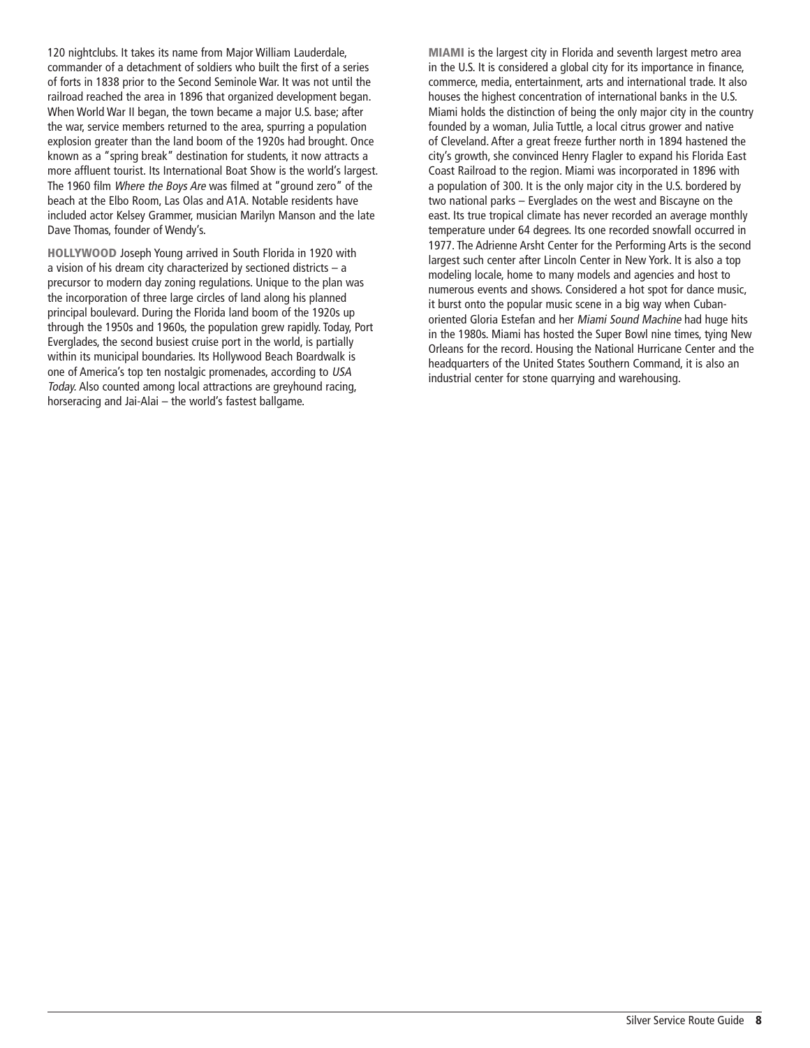120 nightclubs. It takes its name from Major William Lauderdale, commander of a detachment of soldiers who built the first of a series of forts in 1838 prior to the Second Seminole War. It was not until the railroad reached the area in 1896 that organized development began. When World War II began, the town became a major U.S. base; after the war, service members returned to the area, spurring a population explosion greater than the land boom of the 1920s had brought. Once known as a "spring break" destination for students, it now attracts a more affluent tourist. Its International Boat Show is the world's largest. The 1960 film Where the Boys Are was filmed at "ground zero" of the beach at the Elbo Room, Las Olas and A1A. Notable residents have included actor Kelsey Grammer, musician Marilyn Manson and the late Dave Thomas, founder of Wendy's.

HOLLYWOOD Joseph Young arrived in South Florida in 1920 with a vision of his dream city characterized by sectioned districts – a precursor to modern day zoning regulations. Unique to the plan was the incorporation of three large circles of land along his planned principal boulevard. During the Florida land boom of the 1920s up through the 1950s and 1960s, the population grew rapidly. Today, Port Everglades, the second busiest cruise port in the world, is partially within its municipal boundaries. Its Hollywood Beach Boardwalk is one of America's top ten nostalgic promenades, according to USA Today. Also counted among local attractions are greyhound racing, horseracing and Jai-Alai – the world's fastest ballgame.

MIAMI is the largest city in Florida and seventh largest metro area in the U.S. It is considered a global city for its importance in finance, commerce, media, entertainment, arts and international trade. It also houses the highest concentration of international banks in the U.S. Miami holds the distinction of being the only major city in the country founded by a woman, Julia Tuttle, a local citrus grower and native of Cleveland. After a great freeze further north in 1894 hastened the city's growth, she convinced Henry Flagler to expand his Florida East Coast Railroad to the region. Miami was incorporated in 1896 with a population of 300. It is the only major city in the U.S. bordered by two national parks – Everglades on the west and Biscayne on the east. Its true tropical climate has never recorded an average monthly temperature under 64 degrees. Its one recorded snowfall occurred in 1977. The Adrienne Arsht Center for the Performing Arts is the second largest such center after Lincoln Center in New York. It is also a top modeling locale, home to many models and agencies and host to numerous events and shows. Considered a hot spot for dance music, it burst onto the popular music scene in a big way when Cubanoriented Gloria Estefan and her Miami Sound Machine had huge hits in the 1980s. Miami has hosted the Super Bowl nine times, tying New Orleans for the record. Housing the National Hurricane Center and the headquarters of the United States Southern Command, it is also an industrial center for stone quarrying and warehousing.